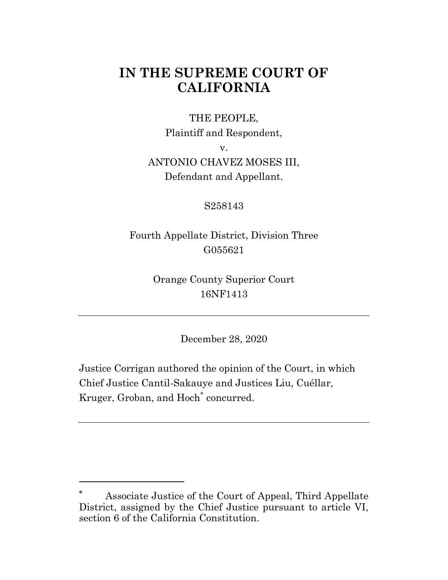# **IN THE SUPREME COURT OF CALIFORNIA**

#### THE PEOPLE,

Plaintiff and Respondent,

v.

## ANTONIO CHAVEZ MOSES III,

Defendant and Appellant.

### S258143

## Fourth Appellate District, Division Three G055621

# Orange County Superior Court 16NF1413

December 28, 2020

Justice Corrigan authored the opinion of the Court, in which Chief Justice Cantil-Sakauye and Justices Liu, Cuéllar, Kruger, Groban, and Hoch\* concurred.

**<sup>\*</sup>** Associate Justice of the Court of Appeal, Third Appellate District, assigned by the Chief Justice pursuant to article VI, section 6 of the California Constitution.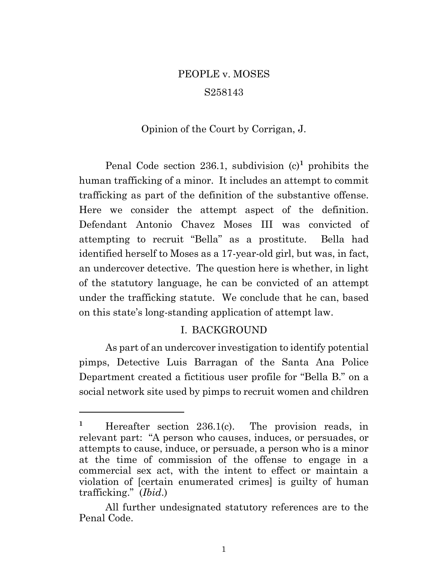# PEOPLE v. MOSES S258143

#### Opinion of the Court by Corrigan, J.

Penal Code section 236.1, subdivision  $(c)^1$  prohibits the human trafficking of a minor. It includes an attempt to commit trafficking as part of the definition of the substantive offense. Here we consider the attempt aspect of the definition. Defendant Antonio Chavez Moses III was convicted of attempting to recruit "Bella" as a prostitute. Bella had identified herself to Moses as a 17-year-old girl, but was, in fact, an undercover detective. The question here is whether, in light of the statutory language, he can be convicted of an attempt under the trafficking statute. We conclude that he can, based on this state's long-standing application of attempt law.

#### I. BACKGROUND

As part of an undercover investigation to identify potential pimps, Detective Luis Barragan of the Santa Ana Police Department created a fictitious user profile for "Bella B." on a social network site used by pimps to recruit women and children

<sup>&</sup>lt;sup>1</sup> Hereafter section 236.1(c). The provision reads, in relevant part: "A person who causes, induces, or persuades, or attempts to cause, induce, or persuade, a person who is a minor at the time of commission of the offense to engage in a commercial sex act, with the intent to effect or maintain a violation of [certain enumerated crimes] is guilty of human trafficking." (*Ibid*.)

All further undesignated statutory references are to the Penal Code.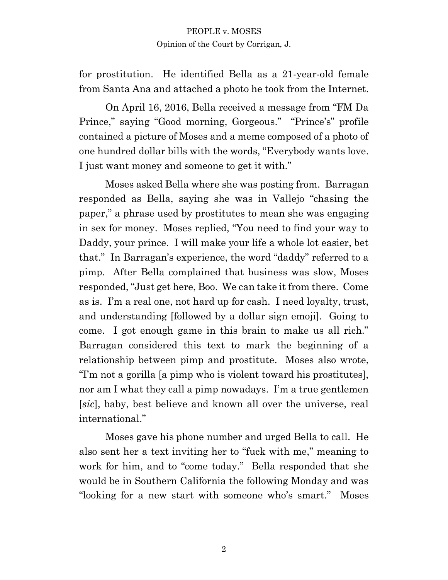for prostitution. He identified Bella as a 21-year-old female from Santa Ana and attached a photo he took from the Internet.

On April 16, 2016, Bella received a message from "FM Da Prince," saying "Good morning, Gorgeous." "Prince's" profile contained a picture of Moses and a meme composed of a photo of one hundred dollar bills with the words, "Everybody wants love. I just want money and someone to get it with."

Moses asked Bella where she was posting from. Barragan responded as Bella, saying she was in Vallejo "chasing the paper," a phrase used by prostitutes to mean she was engaging in sex for money. Moses replied, "You need to find your way to Daddy, your prince. I will make your life a whole lot easier, bet that." In Barragan's experience, the word "daddy" referred to a pimp. After Bella complained that business was slow, Moses responded, "Just get here, Boo. We can take it from there. Come as is. I'm a real one, not hard up for cash. I need loyalty, trust, and understanding [followed by a dollar sign emoji]. Going to come. I got enough game in this brain to make us all rich." Barragan considered this text to mark the beginning of a relationship between pimp and prostitute. Moses also wrote, "I'm not a gorilla [a pimp who is violent toward his prostitutes], nor am I what they call a pimp nowadays. I'm a true gentlemen [*sic*], baby, best believe and known all over the universe, real international."

Moses gave his phone number and urged Bella to call. He also sent her a text inviting her to "fuck with me," meaning to work for him, and to "come today." Bella responded that she would be in Southern California the following Monday and was "looking for a new start with someone who's smart." Moses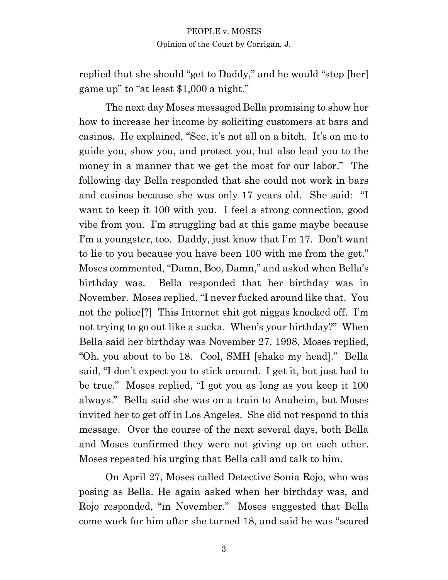replied that she should "get to Daddy," and he would "step [her] game up" to "at least \$1,000 a night."

The next day Moses messaged Bella promising to show her how to increase her income by soliciting customers at bars and casinos. He explained, "See, it's not all on a bitch. It's on me to guide you, show you, and protect you, but also lead you to the money in a manner that we get the most for our labor." The following day Bella responded that she could not work in bars and casinos because she was only 17 years old. She said: "I want to keep it 100 with you. I feel a strong connection, good vibe from you. I'm struggling bad at this game maybe because I'm a youngster, too. Daddy, just know that I'm 17. Don't want to lie to you because you have been 100 with me from the get." Moses commented, "Damn, Boo, Damn," and asked when Bella's birthday was. Bella responded that her birthday was in November. Moses replied, "I never fucked around like that. You not the police[?] This Internet shit got niggas knocked off. I'm not trying to go out like a sucka. When's your birthday?" When Bella said her birthday was November 27, 1998, Moses replied, "Oh, you about to be 18. Cool, SMH [shake my head]." Bella said, "I don't expect you to stick around. I get it, but just had to be true." Moses replied, "I got you as long as you keep it 100 always." Bella said she was on a train to Anaheim, but Moses invited her to get off in Los Angeles. She did not respond to this message. Over the course of the next several days, both Bella and Moses confirmed they were not giving up on each other. Moses repeated his urging that Bella call and talk to him.

On April 27, Moses called Detective Sonia Rojo, who was posing as Bella. He again asked when her birthday was, and Rojo responded, "in November." Moses suggested that Bella come work for him after she turned 18, and said he was "scared

3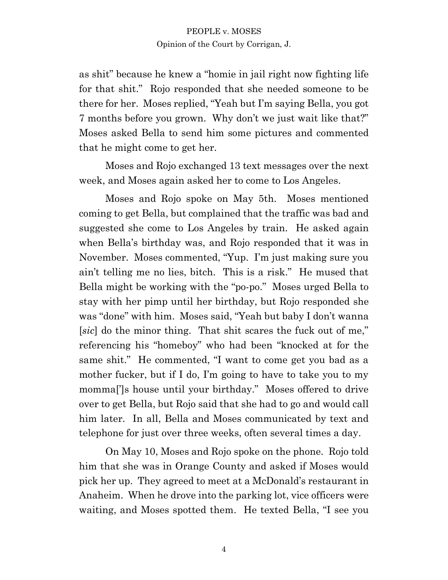as shit" because he knew a "homie in jail right now fighting life for that shit." Rojo responded that she needed someone to be there for her. Moses replied, "Yeah but I'm saying Bella, you got 7 months before you grown. Why don't we just wait like that?" Moses asked Bella to send him some pictures and commented that he might come to get her.

Moses and Rojo exchanged 13 text messages over the next week, and Moses again asked her to come to Los Angeles.

Moses and Rojo spoke on May 5th. Moses mentioned coming to get Bella, but complained that the traffic was bad and suggested she come to Los Angeles by train. He asked again when Bella's birthday was, and Rojo responded that it was in November. Moses commented, "Yup. I'm just making sure you ain't telling me no lies, bitch. This is a risk." He mused that Bella might be working with the "po-po." Moses urged Bella to stay with her pimp until her birthday, but Rojo responded she was "done" with him. Moses said, "Yeah but baby I don't wanna [*sic*] do the minor thing. That shit scares the fuck out of me," referencing his "homeboy" who had been "knocked at for the same shit." He commented, "I want to come get you bad as a mother fucker, but if I do, I'm going to have to take you to my momma[']s house until your birthday." Moses offered to drive over to get Bella, but Rojo said that she had to go and would call him later. In all, Bella and Moses communicated by text and telephone for just over three weeks, often several times a day.

On May 10, Moses and Rojo spoke on the phone. Rojo told him that she was in Orange County and asked if Moses would pick her up. They agreed to meet at a McDonald's restaurant in Anaheim. When he drove into the parking lot, vice officers were waiting, and Moses spotted them. He texted Bella, "I see you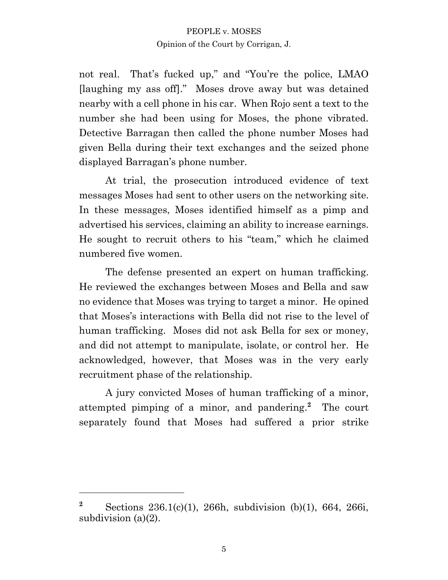not real. That's fucked up," and "You're the police, LMAO [laughing my ass off]." Moses drove away but was detained nearby with a cell phone in his car. When Rojo sent a text to the number she had been using for Moses, the phone vibrated. Detective Barragan then called the phone number Moses had given Bella during their text exchanges and the seized phone displayed Barragan's phone number.

At trial, the prosecution introduced evidence of text messages Moses had sent to other users on the networking site. In these messages, Moses identified himself as a pimp and advertised his services, claiming an ability to increase earnings. He sought to recruit others to his "team," which he claimed numbered five women.

The defense presented an expert on human trafficking. He reviewed the exchanges between Moses and Bella and saw no evidence that Moses was trying to target a minor. He opined that Moses's interactions with Bella did not rise to the level of human trafficking. Moses did not ask Bella for sex or money, and did not attempt to manipulate, isolate, or control her. He acknowledged, however, that Moses was in the very early recruitment phase of the relationship.

A jury convicted Moses of human trafficking of a minor, attempted pimping of a minor, and pandering. **<sup>2</sup>** The court separately found that Moses had suffered a prior strike

<sup>&</sup>lt;sup>2</sup> Sections 236.1(c)(1), 266h, subdivision (b)(1), 664, 266i, subdivision (a)(2).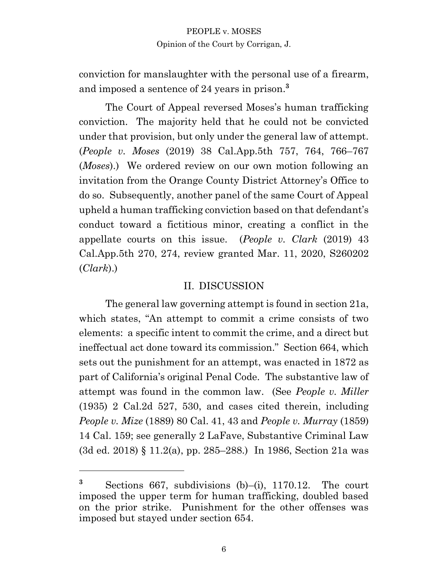conviction for manslaughter with the personal use of a firearm, and imposed a sentence of 24 years in prison. **3**

The Court of Appeal reversed Moses's human trafficking conviction. The majority held that he could not be convicted under that provision, but only under the general law of attempt. (*People v. Moses* (2019) 38 Cal.App.5th 757, 764, 766–767 (*Moses*).) We ordered review on our own motion following an invitation from the Orange County District Attorney's Office to do so. Subsequently, another panel of the same Court of Appeal upheld a human trafficking conviction based on that defendant's conduct toward a fictitious minor, creating a conflict in the appellate courts on this issue. (*People v. Clark* (2019) 43 Cal.App.5th 270, 274, review granted Mar. 11, 2020, S260202 (*Clark*).)

#### II. DISCUSSION

The general law governing attempt is found in section 21a, which states, "An attempt to commit a crime consists of two elements: a specific intent to commit the crime, and a direct but ineffectual act done toward its commission." Section 664, which sets out the punishment for an attempt, was enacted in 1872 as part of California's original Penal Code. The substantive law of attempt was found in the common law. (See *People v. Miller* (1935) 2 Cal.2d 527, 530, and cases cited therein, including *People v. Mize* (1889) 80 Cal. 41, 43 and *People v. Murray* (1859) 14 Cal. 159; see generally 2 LaFave, Substantive Criminal Law (3d ed. 2018) § 11.2(a), pp. 285–288.) In 1986, Section 21a was

**<sup>3</sup>** Sections 667, subdivisions (b)–(i), 1170.12. The court imposed the upper term for human trafficking, doubled based on the prior strike. Punishment for the other offenses was imposed but stayed under section 654.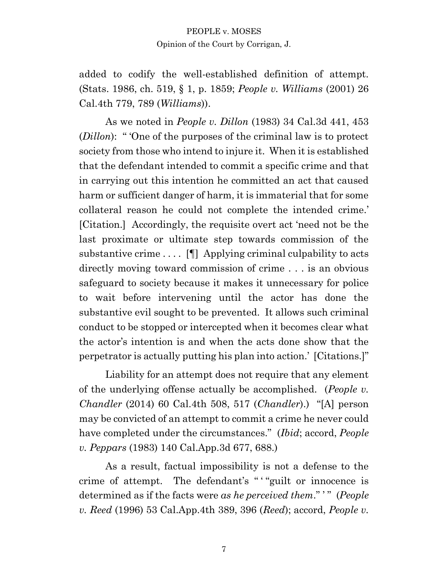added to codify the well-established definition of attempt. (Stats. 1986, ch. 519, § 1, p. 1859; *People v. Williams* (2001) 26 Cal.4th 779, 789 (*Williams*)).

As we noted in *People v. Dillon* (1983) 34 Cal.3d 441, 453 (*Dillon*): " 'One of the purposes of the criminal law is to protect society from those who intend to injure it. When it is established that the defendant intended to commit a specific crime and that in carrying out this intention he committed an act that caused harm or sufficient danger of harm, it is immaterial that for some collateral reason he could not complete the intended crime.' [Citation.] Accordingly, the requisite overt act 'need not be the last proximate or ultimate step towards commission of the substantive crime  $\dots$  [[] Applying criminal culpability to acts directly moving toward commission of crime . . . is an obvious safeguard to society because it makes it unnecessary for police to wait before intervening until the actor has done the substantive evil sought to be prevented. It allows such criminal conduct to be stopped or intercepted when it becomes clear what the actor's intention is and when the acts done show that the perpetrator is actually putting his plan into action.' [Citations.]"

Liability for an attempt does not require that any element of the underlying offense actually be accomplished. (*People v. Chandler* (2014) 60 Cal.4th 508, 517 (*Chandler*).) "[A] person may be convicted of an attempt to commit a crime he never could have completed under the circumstances." (*Ibid*; accord, *People v. Peppars* (1983) 140 Cal.App.3d 677, 688.)

As a result, factual impossibility is not a defense to the crime of attempt. The defendant's " ' "guilt or innocence is determined as if the facts were *as he perceived them*."" (*People v. Reed* (1996) 53 Cal.App.4th 389, 396 (*Reed*); accord, *People v.*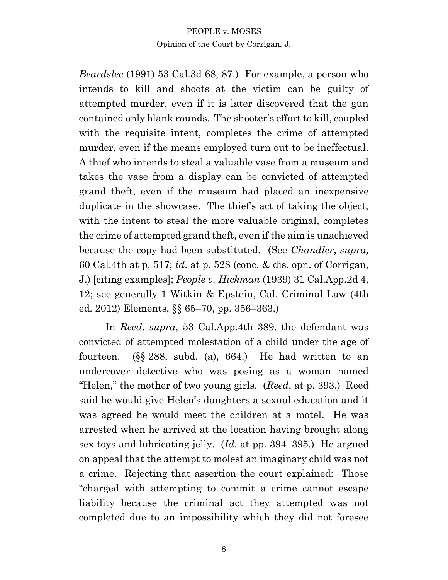*Beardslee* (1991) 53 Cal.3d 68, 87.) For example, a person who intends to kill and shoots at the victim can be guilty of attempted murder, even if it is later discovered that the gun contained only blank rounds. The shooter's effort to kill, coupled with the requisite intent, completes the crime of attempted murder, even if the means employed turn out to be ineffectual. A thief who intends to steal a valuable vase from a museum and takes the vase from a display can be convicted of attempted grand theft, even if the museum had placed an inexpensive duplicate in the showcase. The thief's act of taking the object, with the intent to steal the more valuable original, completes the crime of attempted grand theft, even if the aim is unachieved because the copy had been substituted. (See *Chandler*, *supra,* 60 Cal.4th at p. 517; *id*. at p. 528 (conc. & dis. opn. of Corrigan, J.) [citing examples]; *People v. Hickman* (1939) 31 Cal.App.2d 4, 12; see generally 1 Witkin & Epstein, Cal. Criminal Law (4th ed. 2012) Elements, §§ 65–70, pp. 356–363.)

In *Reed*, *supra*, 53 Cal.App.4th 389, the defendant was convicted of attempted molestation of a child under the age of fourteen.  $(\S\S 288, \text{ subd. (a)}, 664)$  He had written to an undercover detective who was posing as a woman named "Helen," the mother of two young girls. (*Reed*, at p. 393.) Reed said he would give Helen's daughters a sexual education and it was agreed he would meet the children at a motel. He was arrested when he arrived at the location having brought along sex toys and lubricating jelly. (*Id*. at pp. 394–395.) He argued on appeal that the attempt to molest an imaginary child was not a crime. Rejecting that assertion the court explained: Those "charged with attempting to commit a crime cannot escape liability because the criminal act they attempted was not completed due to an impossibility which they did not foresee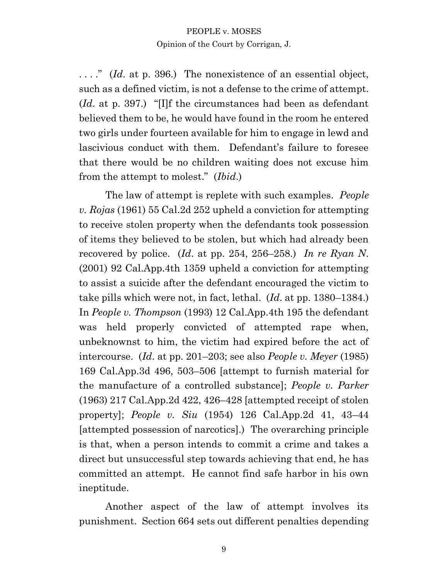. . . ." (*Id*. at p. 396.) The nonexistence of an essential object, such as a defined victim, is not a defense to the crime of attempt. (*Id*. at p. 397.) "[I]f the circumstances had been as defendant believed them to be, he would have found in the room he entered two girls under fourteen available for him to engage in lewd and lascivious conduct with them. Defendant's failure to foresee that there would be no children waiting does not excuse him from the attempt to molest." (*Ibid*.)

The law of attempt is replete with such examples. *People v. Rojas* (1961) 55 Cal.2d 252 upheld a conviction for attempting to receive stolen property when the defendants took possession of items they believed to be stolen, but which had already been recovered by police. (*Id*. at pp. 254, 256–258.) *In re Ryan N*. (2001) 92 Cal.App.4th 1359 upheld a conviction for attempting to assist a suicide after the defendant encouraged the victim to take pills which were not, in fact, lethal. (*Id*. at pp. 1380–1384.) In *People v. Thompson* (1993) 12 Cal.App.4th 195 the defendant was held properly convicted of attempted rape when, unbeknownst to him, the victim had expired before the act of intercourse. (*Id*. at pp. 201–203; see also *People v. Meyer* (1985) 169 Cal.App.3d 496, 503–506 [attempt to furnish material for the manufacture of a controlled substance]; *People v. Parker* (1963) 217 Cal.App.2d 422, 426–428 [attempted receipt of stolen property]; *People v. Siu* (1954) 126 Cal.App.2d 41, 43–44 [attempted possession of narcotics].) The overarching principle is that, when a person intends to commit a crime and takes a direct but unsuccessful step towards achieving that end, he has committed an attempt. He cannot find safe harbor in his own ineptitude.

Another aspect of the law of attempt involves its punishment. Section 664 sets out different penalties depending

9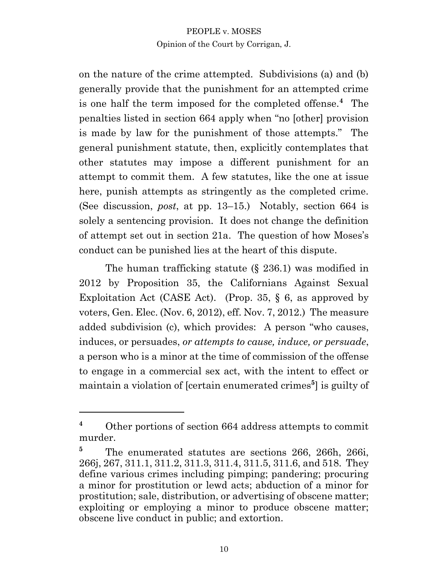on the nature of the crime attempted. Subdivisions (a) and (b) generally provide that the punishment for an attempted crime is one half the term imposed for the completed offense.**<sup>4</sup>** The penalties listed in section 664 apply when "no [other] provision is made by law for the punishment of those attempts." The general punishment statute, then, explicitly contemplates that other statutes may impose a different punishment for an attempt to commit them. A few statutes, like the one at issue here, punish attempts as stringently as the completed crime. (See discussion, *post*, at pp. 13–15.) Notably, section 664 is solely a sentencing provision. It does not change the definition of attempt set out in section 21a. The question of how Moses's conduct can be punished lies at the heart of this dispute.

The human trafficking statute (§ 236.1) was modified in 2012 by Proposition 35, the Californians Against Sexual Exploitation Act (CASE Act). (Prop. 35, § 6, as approved by voters, Gen. Elec. (Nov. 6, 2012), eff. Nov. 7, 2012.) The measure added subdivision (c), which provides: A person "who causes, induces, or persuades, *or attempts to cause, induce, or persuade*, a person who is a minor at the time of commission of the offense to engage in a commercial sex act, with the intent to effect or maintain a violation of [certain enumerated crimes<sup>5</sup>] is guilty of

**<sup>4</sup>** Other portions of section 664 address attempts to commit murder.

<sup>&</sup>lt;sup>5</sup> The enumerated statutes are sections 266, 266h, 266i, 266j, 267, 311.1, 311.2, 311.3, 311.4, 311.5, 311.6, and 518. They define various crimes including pimping; pandering; procuring a minor for prostitution or lewd acts; abduction of a minor for prostitution; sale, distribution, or advertising of obscene matter; exploiting or employing a minor to produce obscene matter; obscene live conduct in public; and extortion.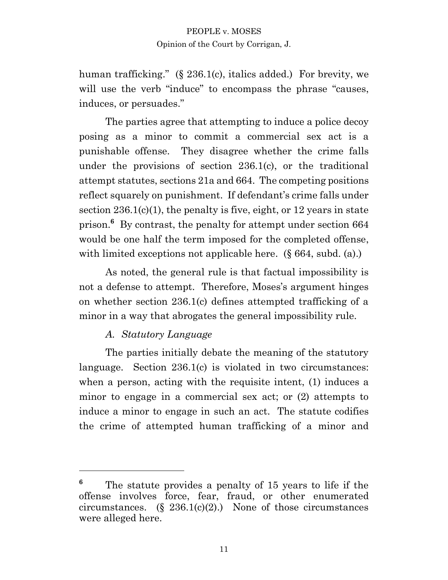human trafficking." (§ 236.1(c), italics added.) For brevity, we will use the verb "induce" to encompass the phrase "causes, induces, or persuades."

The parties agree that attempting to induce a police decoy posing as a minor to commit a commercial sex act is a punishable offense. They disagree whether the crime falls under the provisions of section 236.1(c), or the traditional attempt statutes, sections 21a and 664. The competing positions reflect squarely on punishment. If defendant's crime falls under section  $236.1(c)(1)$ , the penalty is five, eight, or 12 years in state prison.**<sup>6</sup>** By contrast, the penalty for attempt under section 664 would be one half the term imposed for the completed offense, with limited exceptions not applicable here. (§ 664, subd. (a).)

As noted, the general rule is that factual impossibility is not a defense to attempt. Therefore, Moses's argument hinges on whether section 236.1(c) defines attempted trafficking of a minor in a way that abrogates the general impossibility rule.

### *A. Statutory Language*

The parties initially debate the meaning of the statutory language. Section 236.1(c) is violated in two circumstances: when a person, acting with the requisite intent, (1) induces a minor to engage in a commercial sex act; or (2) attempts to induce a minor to engage in such an act. The statute codifies the crime of attempted human trafficking of a minor and

11

**<sup>6</sup>** The statute provides a penalty of 15 years to life if the offense involves force, fear, fraud, or other enumerated circumstances.  $(\S$  236.1(c)(2).) None of those circumstances were alleged here.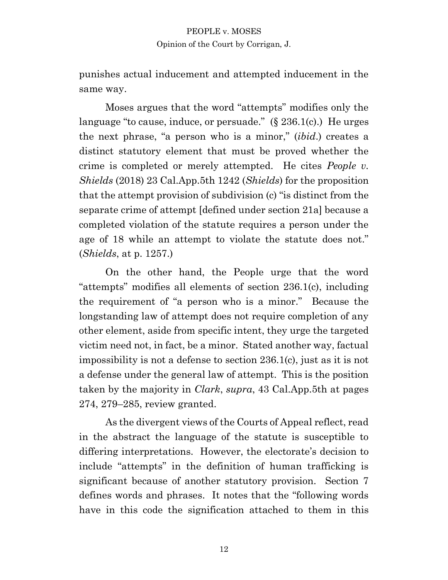punishes actual inducement and attempted inducement in the same way.

Moses argues that the word "attempts" modifies only the language "to cause, induce, or persuade."  $(\S 236.1(c))$  He urges the next phrase, "a person who is a minor," (*ibid*.) creates a distinct statutory element that must be proved whether the crime is completed or merely attempted. He cites *People v. Shields* (2018) 23 Cal.App.5th 1242 (*Shields*) for the proposition that the attempt provision of subdivision (c) "is distinct from the separate crime of attempt [defined under section 21a] because a completed violation of the statute requires a person under the age of 18 while an attempt to violate the statute does not." (*Shields*, at p. 1257.)

On the other hand, the People urge that the word "attempts" modifies all elements of section 236.1(c), including the requirement of "a person who is a minor." Because the longstanding law of attempt does not require completion of any other element, aside from specific intent, they urge the targeted victim need not, in fact, be a minor. Stated another way, factual impossibility is not a defense to section 236.1(c), just as it is not a defense under the general law of attempt. This is the position taken by the majority in *Clark*, *supra*, 43 Cal.App.5th at pages 274, 279–285, review granted.

As the divergent views of the Courts of Appeal reflect, read in the abstract the language of the statute is susceptible to differing interpretations. However, the electorate's decision to include "attempts" in the definition of human trafficking is significant because of another statutory provision. Section 7 defines words and phrases. It notes that the "following words have in this code the signification attached to them in this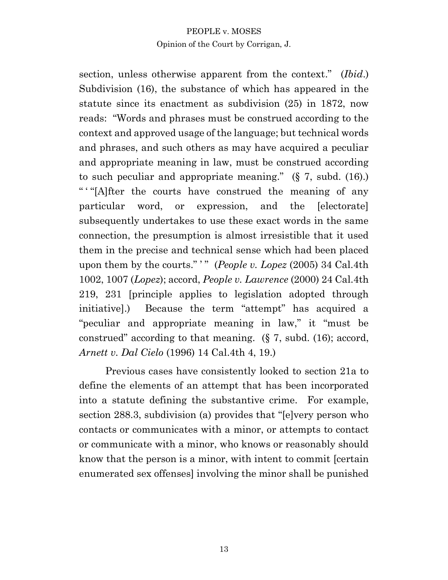section, unless otherwise apparent from the context." (*Ibid*.) Subdivision (16), the substance of which has appeared in the statute since its enactment as subdivision (25) in 1872, now reads: "Words and phrases must be construed according to the context and approved usage of the language; but technical words and phrases, and such others as may have acquired a peculiar and appropriate meaning in law, must be construed according to such peculiar and appropriate meaning."  $(\S 7, \text{subd.} (16))$ " ' "[A]fter the courts have construed the meaning of any particular word, or expression, and the [electorate] subsequently undertakes to use these exact words in the same connection, the presumption is almost irresistible that it used them in the precise and technical sense which had been placed upon them by the courts."" (*People v. Lopez* (2005) 34 Cal.4th 1002, 1007 (*Lopez*); accord, *People v. Lawrence* (2000) 24 Cal.4th 219, 231 [principle applies to legislation adopted through initiative].) Because the term "attempt" has acquired a "peculiar and appropriate meaning in law," it "must be construed" according to that meaning. (§ 7, subd. (16); accord, *Arnett v. Dal Cielo* (1996) 14 Cal.4th 4, 19.)

Previous cases have consistently looked to section 21a to define the elements of an attempt that has been incorporated into a statute defining the substantive crime. For example, section 288.3, subdivision (a) provides that "[e]very person who contacts or communicates with a minor, or attempts to contact or communicate with a minor, who knows or reasonably should know that the person is a minor, with intent to commit [certain enumerated sex offenses] involving the minor shall be punished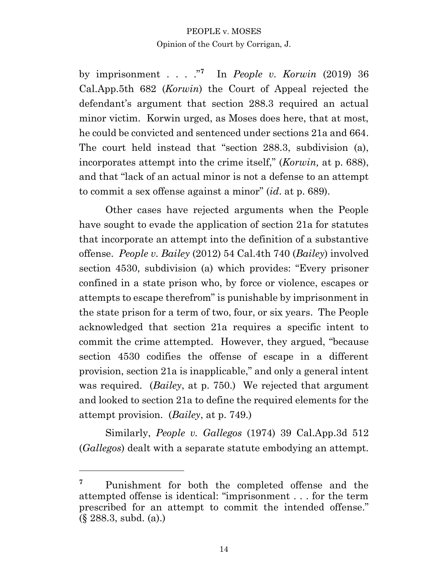by imprisonment . . . ."**<sup>7</sup>** In *People v. Korwin* (2019) 36 Cal.App.5th 682 (*Korwin*) the Court of Appeal rejected the defendant's argument that section 288.3 required an actual minor victim. Korwin urged, as Moses does here, that at most, he could be convicted and sentenced under sections 21a and 664. The court held instead that "section 288.3, subdivision (a), incorporates attempt into the crime itself," (*Korwin,* at p. 688), and that "lack of an actual minor is not a defense to an attempt to commit a sex offense against a minor" (*id*. at p. 689).

Other cases have rejected arguments when the People have sought to evade the application of section 21a for statutes that incorporate an attempt into the definition of a substantive offense. *People v. Bailey* (2012) 54 Cal.4th 740 (*Bailey*) involved section 4530, subdivision (a) which provides: "Every prisoner confined in a state prison who, by force or violence, escapes or attempts to escape therefrom" is punishable by imprisonment in the state prison for a term of two, four, or six years. The People acknowledged that section 21a requires a specific intent to commit the crime attempted. However, they argued, "because section 4530 codifies the offense of escape in a different provision, section 21a is inapplicable," and only a general intent was required. (*Bailey*, at p. 750.) We rejected that argument and looked to section 21a to define the required elements for the attempt provision. (*Bailey*, at p. 749.)

Similarly, *People v. Gallegos* (1974) 39 Cal.App.3d 512 (*Gallegos*) dealt with a separate statute embodying an attempt.

**<sup>7</sup>** Punishment for both the completed offense and the attempted offense is identical: "imprisonment . . . for the term prescribed for an attempt to commit the intended offense." (§ 288.3, subd. (a).)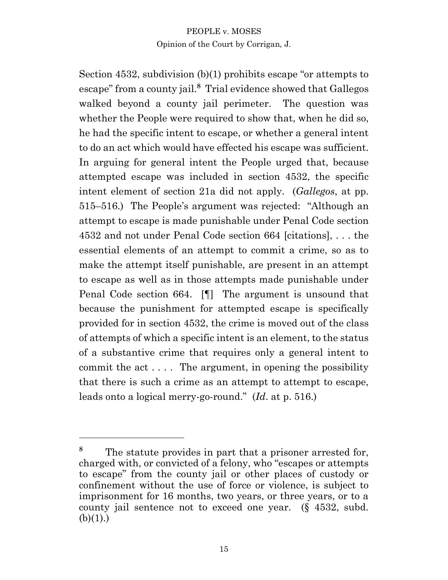Section 4532, subdivision (b)(1) prohibits escape "or attempts to escape" from a county jail.**<sup>8</sup>** Trial evidence showed that Gallegos walked beyond a county jail perimeter. The question was whether the People were required to show that, when he did so, he had the specific intent to escape, or whether a general intent to do an act which would have effected his escape was sufficient. In arguing for general intent the People urged that, because attempted escape was included in section 4532, the specific intent element of section 21a did not apply. (*Gallegos*, at pp. 515–516.) The People's argument was rejected: "Although an attempt to escape is made punishable under Penal Code section 4532 and not under Penal Code section 664 [citations], . . . the essential elements of an attempt to commit a crime, so as to make the attempt itself punishable, are present in an attempt to escape as well as in those attempts made punishable under Penal Code section 664. [¶] The argument is unsound that because the punishment for attempted escape is specifically provided for in section 4532, the crime is moved out of the class of attempts of which a specific intent is an element, to the status of a substantive crime that requires only a general intent to commit the  $act \ldots$ . The argument, in opening the possibility that there is such a crime as an attempt to attempt to escape, leads onto a logical merry-go-round." (*Id*. at p. 516.)

**<sup>8</sup>** The statute provides in part that a prisoner arrested for, charged with, or convicted of a felony, who "escapes or attempts to escape" from the county jail or other places of custody or confinement without the use of force or violence, is subject to imprisonment for 16 months, two years, or three years, or to a county jail sentence not to exceed one year. (§ 4532, subd.  $(b)(1)$ .)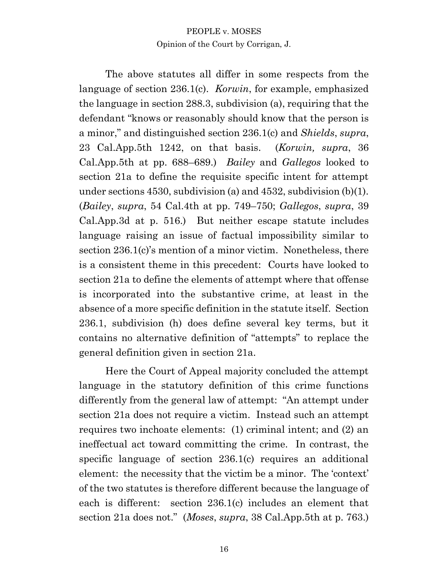The above statutes all differ in some respects from the language of section 236.1(c). *Korwin*, for example, emphasized the language in section 288.3, subdivision (a), requiring that the defendant "knows or reasonably should know that the person is a minor," and distinguished section 236.1(c) and *Shields*, *supra*, 23 Cal.App.5th 1242, on that basis. (*Korwin, supra*, 36 Cal.App.5th at pp. 688–689.) *Bailey* and *Gallegos* looked to section 21a to define the requisite specific intent for attempt under sections 4530, subdivision (a) and 4532, subdivision (b)(1). (*Bailey*, *supra*, 54 Cal.4th at pp. 749–750; *Gallegos*, *supra*, 39 Cal.App.3d at p. 516.) But neither escape statute includes language raising an issue of factual impossibility similar to section 236.1(c)'s mention of a minor victim. Nonetheless, there is a consistent theme in this precedent: Courts have looked to section 21a to define the elements of attempt where that offense is incorporated into the substantive crime, at least in the absence of a more specific definition in the statute itself. Section 236.1, subdivision (h) does define several key terms, but it contains no alternative definition of "attempts" to replace the general definition given in section 21a.

Here the Court of Appeal majority concluded the attempt language in the statutory definition of this crime functions differently from the general law of attempt: "An attempt under section 21a does not require a victim. Instead such an attempt requires two inchoate elements: (1) criminal intent; and (2) an ineffectual act toward committing the crime. In contrast, the specific language of section 236.1(c) requires an additional element: the necessity that the victim be a minor. The 'context' of the two statutes is therefore different because the language of each is different: section 236.1(c) includes an element that section 21a does not." (*Moses*, *supra*, 38 Cal.App.5th at p. 763.)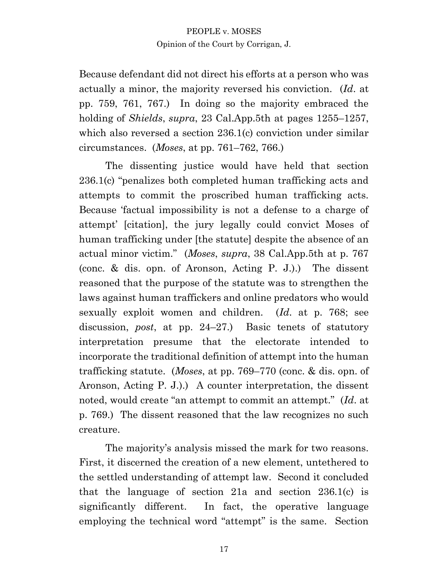Because defendant did not direct his efforts at a person who was actually a minor, the majority reversed his conviction. (*Id*. at pp. 759, 761, 767.) In doing so the majority embraced the holding of *Shields*, *supra*, 23 Cal.App.5th at pages 1255–1257, which also reversed a section 236.1(c) conviction under similar circumstances. (*Moses*, at pp. 761–762, 766.)

The dissenting justice would have held that section 236.1(c) "penalizes both completed human trafficking acts and attempts to commit the proscribed human trafficking acts. Because 'factual impossibility is not a defense to a charge of attempt' [citation], the jury legally could convict Moses of human trafficking under [the statute] despite the absence of an actual minor victim." (*Moses*, *supra*, 38 Cal.App.5th at p. 767 (conc. & dis. opn. of Aronson, Acting P. J.).) The dissent reasoned that the purpose of the statute was to strengthen the laws against human traffickers and online predators who would sexually exploit women and children. (*Id*. at p. 768; see discussion, *post*, at pp. 24–27.) Basic tenets of statutory interpretation presume that the electorate intended to incorporate the traditional definition of attempt into the human trafficking statute. (*Moses*, at pp. 769–770 (conc. & dis. opn. of Aronson, Acting P. J.).) A counter interpretation, the dissent noted, would create "an attempt to commit an attempt." (*Id*. at p. 769.) The dissent reasoned that the law recognizes no such creature.

The majority's analysis missed the mark for two reasons. First, it discerned the creation of a new element, untethered to the settled understanding of attempt law. Second it concluded that the language of section 21a and section 236.1(c) is significantly different. In fact, the operative language employing the technical word "attempt" is the same. Section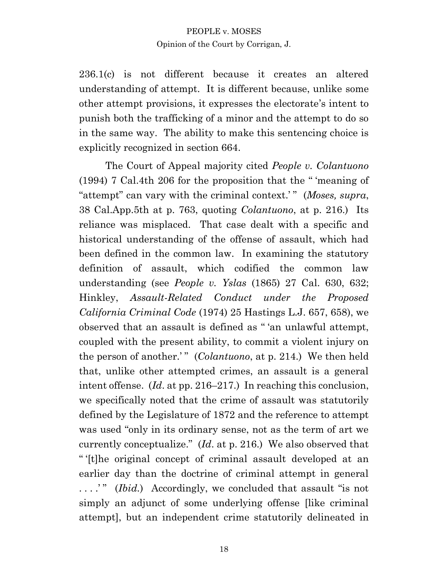236.1(c) is not different because it creates an altered understanding of attempt. It is different because, unlike some other attempt provisions, it expresses the electorate's intent to punish both the trafficking of a minor and the attempt to do so in the same way. The ability to make this sentencing choice is explicitly recognized in section 664.

The Court of Appeal majority cited *People v. Colantuono* (1994) 7 Cal.4th 206 for the proposition that the " 'meaning of "attempt" can vary with the criminal context.' " (*Moses, supra*, 38 Cal.App.5th at p. 763, quoting *Colantuono*, at p. 216.) Its reliance was misplaced. That case dealt with a specific and historical understanding of the offense of assault, which had been defined in the common law. In examining the statutory definition of assault, which codified the common law understanding (see *People v. Yslas* (1865) 27 Cal. 630, 632; Hinkley, *Assault-Related Conduct under the Proposed California Criminal Code* (1974) 25 Hastings L.J. 657, 658), we observed that an assault is defined as " 'an unlawful attempt, coupled with the present ability, to commit a violent injury on the person of another.'" (*Colantuono*, at p. 214.) We then held that, unlike other attempted crimes, an assault is a general intent offense. (*Id*. at pp. 216–217.) In reaching this conclusion, we specifically noted that the crime of assault was statutorily defined by the Legislature of 1872 and the reference to attempt was used "only in its ordinary sense, not as the term of art we currently conceptualize." (*Id*. at p. 216.) We also observed that " '[t]he original concept of criminal assault developed at an earlier day than the doctrine of criminal attempt in general ....'" (*Ibid.*) Accordingly, we concluded that assault "is not simply an adjunct of some underlying offense [like criminal] attempt], but an independent crime statutorily delineated in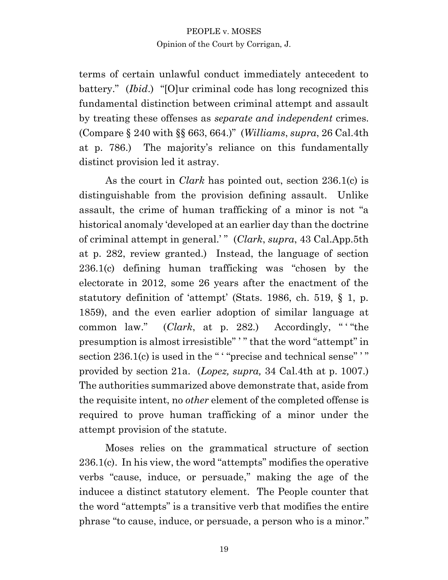terms of certain unlawful conduct immediately antecedent to battery." (*Ibid*.) "[O]ur criminal code has long recognized this fundamental distinction between criminal attempt and assault by treating these offenses as *separate and independent* crimes. (Compare § 240 with §§ 663, 664.)" (*Williams*, *supra*, 26 Cal.4th at p. 786.) The majority's reliance on this fundamentally distinct provision led it astray.

As the court in *Clark* has pointed out, section 236.1(c) is distinguishable from the provision defining assault. Unlike assault, the crime of human trafficking of a minor is not "a historical anomaly 'developed at an earlier day than the doctrine of criminal attempt in general.' " (*Clark*, *supra*, 43 Cal.App.5th at p. 282, review granted.) Instead, the language of section 236.1(c) defining human trafficking was "chosen by the electorate in 2012, some 26 years after the enactment of the statutory definition of 'attempt' (Stats. 1986, ch. 519, § 1, p. 1859), and the even earlier adoption of similar language at common law." (*Clark*, at p. 282*.*) Accordingly, " ' "the presumption is almost irresistible" ' " that the word "attempt" in section 236.1(c) is used in the " ' "precise and technical sense" '" provided by section 21a. (*Lopez, supra,* 34 Cal.4th at p. 1007.) The authorities summarized above demonstrate that, aside from the requisite intent, no *other* element of the completed offense is required to prove human trafficking of a minor under the attempt provision of the statute.

Moses relies on the grammatical structure of section 236.1(c). In his view, the word "attempts" modifies the operative verbs "cause, induce, or persuade," making the age of the inducee a distinct statutory element. The People counter that the word "attempts" is a transitive verb that modifies the entire phrase "to cause, induce, or persuade, a person who is a minor."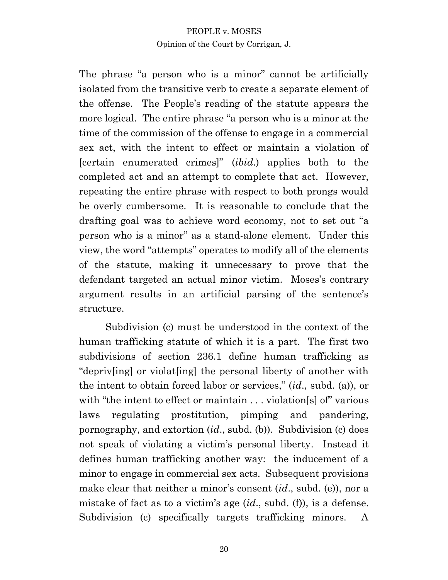The phrase "a person who is a minor" cannot be artificially isolated from the transitive verb to create a separate element of the offense. The People's reading of the statute appears the more logical. The entire phrase "a person who is a minor at the time of the commission of the offense to engage in a commercial sex act, with the intent to effect or maintain a violation of [certain enumerated crimes]" (*ibid*.) applies both to the completed act and an attempt to complete that act. However, repeating the entire phrase with respect to both prongs would be overly cumbersome. It is reasonable to conclude that the drafting goal was to achieve word economy, not to set out "a person who is a minor" as a stand-alone element. Under this view, the word "attempts" operates to modify all of the elements of the statute, making it unnecessary to prove that the defendant targeted an actual minor victim. Moses's contrary argument results in an artificial parsing of the sentence's structure.

Subdivision (c) must be understood in the context of the human trafficking statute of which it is a part. The first two subdivisions of section 236.1 define human trafficking as "depriv[ing] or violat[ing] the personal liberty of another with the intent to obtain forced labor or services," (*id*., subd. (a)), or with "the intent to effect or maintain . . . violation[s] of various laws regulating prostitution, pimping and pandering, pornography, and extortion (*id*., subd. (b)). Subdivision (c) does not speak of violating a victim's personal liberty. Instead it defines human trafficking another way: the inducement of a minor to engage in commercial sex acts. Subsequent provisions make clear that neither a minor's consent (*id*., subd. (e)), nor a mistake of fact as to a victim's age (*id*., subd. (f)), is a defense. Subdivision (c) specifically targets trafficking minors. A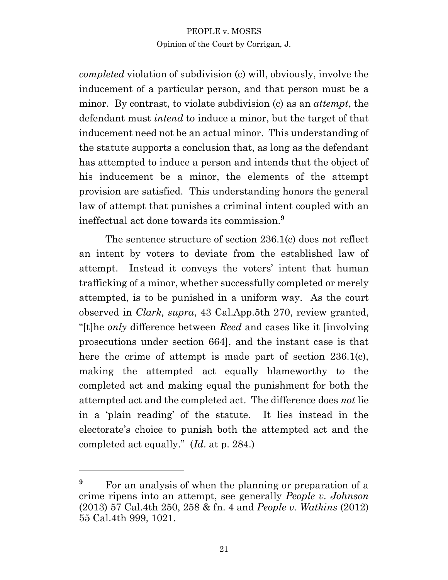*completed* violation of subdivision (c) will, obviously, involve the inducement of a particular person, and that person must be a minor. By contrast, to violate subdivision (c) as an *attempt*, the defendant must *intend* to induce a minor, but the target of that inducement need not be an actual minor. This understanding of the statute supports a conclusion that, as long as the defendant has attempted to induce a person and intends that the object of his inducement be a minor, the elements of the attempt provision are satisfied. This understanding honors the general law of attempt that punishes a criminal intent coupled with an ineffectual act done towards its commission.**<sup>9</sup>**

The sentence structure of section 236.1(c) does not reflect an intent by voters to deviate from the established law of attempt. Instead it conveys the voters' intent that human trafficking of a minor, whether successfully completed or merely attempted, is to be punished in a uniform way. As the court observed in *Clark, supra*, 43 Cal.App.5th 270, review granted, "[t]he *only* difference between *Reed* and cases like it [involving prosecutions under section 664], and the instant case is that here the crime of attempt is made part of section 236.1(c), making the attempted act equally blameworthy to the completed act and making equal the punishment for both the attempted act and the completed act. The difference does *not* lie in a 'plain reading' of the statute. It lies instead in the electorate's choice to punish both the attempted act and the completed act equally." (*Id*. at p. 284.)

<sup>&</sup>lt;sup>9</sup> For an analysis of when the planning or preparation of a crime ripens into an attempt, see generally *People v. Johnson* (2013) 57 Cal.4th 250, 258 & fn. 4 and *People v. Watkins* (2012) 55 Cal.4th 999, 1021.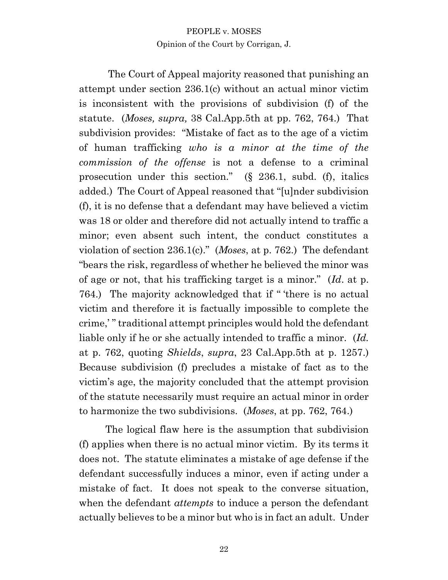The Court of Appeal majority reasoned that punishing an attempt under section 236.1(c) without an actual minor victim is inconsistent with the provisions of subdivision (f) of the statute. (*Moses, supra,* 38 Cal.App.5th at pp. 762, 764.) That subdivision provides: "Mistake of fact as to the age of a victim of human trafficking *who is a minor at the time of the commission of the offense* is not a defense to a criminal prosecution under this section." (§ 236.1, subd. (f), italics added.) The Court of Appeal reasoned that "[u]nder subdivision (f), it is no defense that a defendant may have believed a victim was 18 or older and therefore did not actually intend to traffic a minor; even absent such intent, the conduct constitutes a violation of section 236.1(c)." (*Moses*, at p. 762.) The defendant "bears the risk, regardless of whether he believed the minor was of age or not, that his trafficking target is a minor." (*Id*. at p. 764.) The majority acknowledged that if " 'there is no actual victim and therefore it is factually impossible to complete the crime,' " traditional attempt principles would hold the defendant liable only if he or she actually intended to traffic a minor. (*Id.*  at p. 762, quoting *Shields*, *supra*, 23 Cal.App.5th at p. 1257.) Because subdivision (f) precludes a mistake of fact as to the victim's age, the majority concluded that the attempt provision of the statute necessarily must require an actual minor in order to harmonize the two subdivisions. (*Moses*, at pp. 762, 764.)

The logical flaw here is the assumption that subdivision (f) applies when there is no actual minor victim. By its terms it does not. The statute eliminates a mistake of age defense if the defendant successfully induces a minor, even if acting under a mistake of fact. It does not speak to the converse situation, when the defendant *attempts* to induce a person the defendant actually believes to be a minor but who is in fact an adult. Under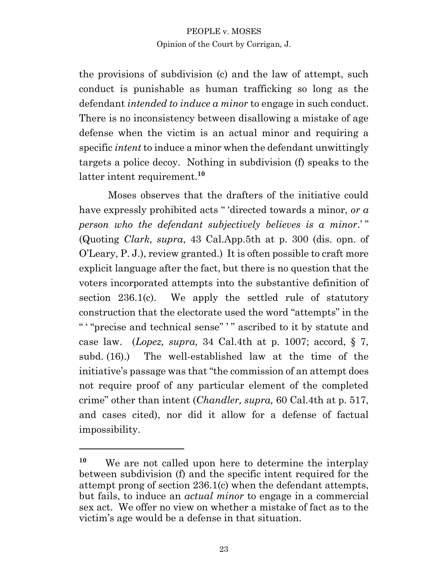the provisions of subdivision (c) and the law of attempt, such conduct is punishable as human trafficking so long as the defendant *intended to induce a minor* to engage in such conduct. There is no inconsistency between disallowing a mistake of age defense when the victim is an actual minor and requiring a specific *intent* to induce a minor when the defendant unwittingly targets a police decoy. Nothing in subdivision (f) speaks to the latter intent requirement.**<sup>10</sup>**

Moses observes that the drafters of the initiative could have expressly prohibited acts " 'directed towards a minor, *or a person who the defendant subjectively believes is a minor*.' " (Quoting *Clark, supra*, 43 Cal.App.5th at p. 300 (dis. opn. of O'Leary, P. J.), review granted.) It is often possible to craft more explicit language after the fact, but there is no question that the voters incorporated attempts into the substantive definition of section 236.1(c). We apply the settled rule of statutory construction that the electorate used the word "attempts" in the " ' "precise and technical sense" ' " ascribed to it by statute and case law. (*Lopez, supra,* 34 Cal.4th at p. 1007; accord, § 7, subd. (16).) The well-established law at the time of the initiative's passage was that "the commission of an attempt does not require proof of any particular element of the completed crime" other than intent (*Chandler, supra,* 60 Cal.4th at p. 517, and cases cited), nor did it allow for a defense of factual impossibility.

**<sup>10</sup>** We are not called upon here to determine the interplay between subdivision (f) and the specific intent required for the attempt prong of section 236.1(c) when the defendant attempts, but fails, to induce an *actual minor* to engage in a commercial sex act. We offer no view on whether a mistake of fact as to the victim's age would be a defense in that situation.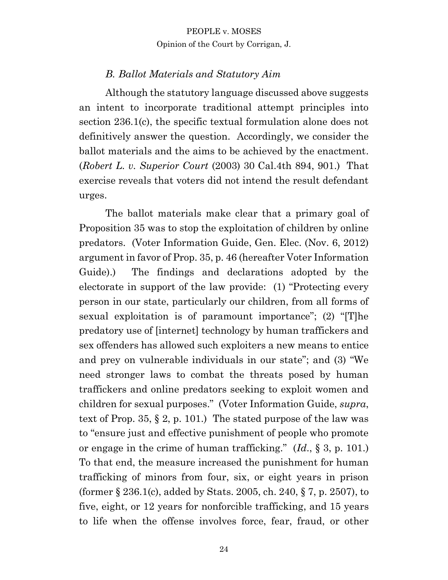#### *B. Ballot Materials and Statutory Aim*

Although the statutory language discussed above suggests an intent to incorporate traditional attempt principles into section 236.1(c), the specific textual formulation alone does not definitively answer the question. Accordingly, we consider the ballot materials and the aims to be achieved by the enactment. (*Robert L. v. Superior Court* (2003) 30 Cal.4th 894, 901.) That exercise reveals that voters did not intend the result defendant urges.

The ballot materials make clear that a primary goal of Proposition 35 was to stop the exploitation of children by online predators. (Voter Information Guide, Gen. Elec. (Nov. 6, 2012) argument in favor of Prop. 35, p. 46 (hereafter Voter Information Guide).) The findings and declarations adopted by the electorate in support of the law provide: (1) "Protecting every person in our state, particularly our children, from all forms of sexual exploitation is of paramount importance"; (2) "[T]he predatory use of [internet] technology by human traffickers and sex offenders has allowed such exploiters a new means to entice and prey on vulnerable individuals in our state"; and (3) "We need stronger laws to combat the threats posed by human traffickers and online predators seeking to exploit women and children for sexual purposes." (Voter Information Guide, *supra*, text of Prop. 35,  $\S 2$ , p. 101.) The stated purpose of the law was to "ensure just and effective punishment of people who promote or engage in the crime of human trafficking." (*Id*., § 3, p. 101.) To that end, the measure increased the punishment for human trafficking of minors from four, six, or eight years in prison (former § 236.1(c), added by Stats. 2005, ch. 240, § 7, p. 2507), to five, eight, or 12 years for nonforcible trafficking, and 15 years to life when the offense involves force, fear, fraud, or other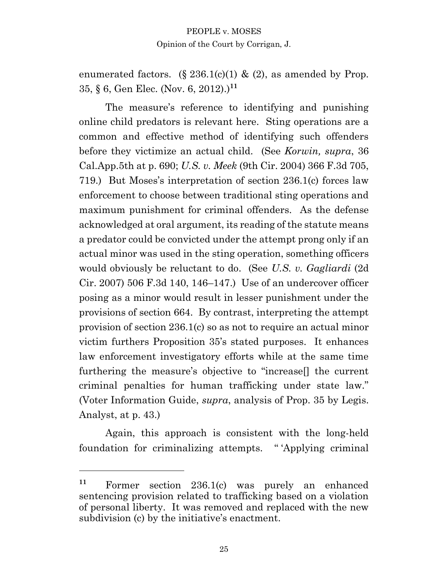enumerated factors. (§ 236.1(c)(1) & (2), as amended by Prop. 35, § 6, Gen Elec. (Nov. 6, 2012).) **11**

The measure's reference to identifying and punishing online child predators is relevant here. Sting operations are a common and effective method of identifying such offenders before they victimize an actual child. (See *Korwin, supra*, 36 Cal.App.5th at p. 690; *U.S. v. Meek* (9th Cir. 2004) 366 F.3d 705, 719.) But Moses's interpretation of section 236.1(c) forces law enforcement to choose between traditional sting operations and maximum punishment for criminal offenders. As the defense acknowledged at oral argument, its reading of the statute means a predator could be convicted under the attempt prong only if an actual minor was used in the sting operation, something officers would obviously be reluctant to do. (See *U.S. v. Gagliardi* (2d Cir. 2007) 506 F.3d 140, 146–147.) Use of an undercover officer posing as a minor would result in lesser punishment under the provisions of section 664. By contrast, interpreting the attempt provision of section 236.1(c) so as not to require an actual minor victim furthers Proposition 35's stated purposes. It enhances law enforcement investigatory efforts while at the same time furthering the measure's objective to "increase[] the current criminal penalties for human trafficking under state law." (Voter Information Guide, *supra*, analysis of Prop. 35 by Legis. Analyst, at p. 43.)

Again, this approach is consistent with the long-held foundation for criminalizing attempts. " 'Applying criminal

25

**<sup>11</sup>** Former section 236.1(c) was purely an enhanced sentencing provision related to trafficking based on a violation of personal liberty. It was removed and replaced with the new subdivision (c) by the initiative's enactment.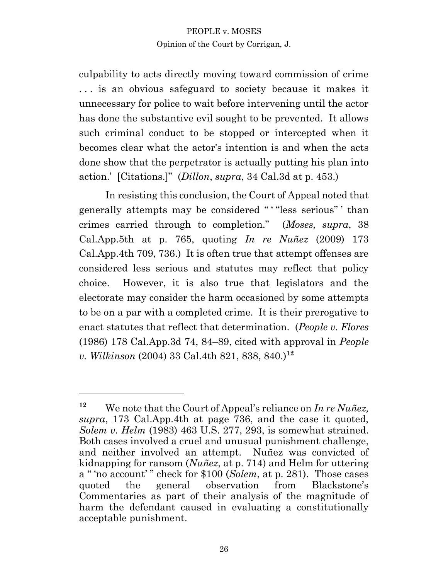culpability to acts directly moving toward commission of crime . . . is an obvious safeguard to society because it makes it unnecessary for police to wait before intervening until the actor has done the substantive evil sought to be prevented. It allows such criminal conduct to be stopped or intercepted when it becomes clear what the actor's intention is and when the acts done show that the perpetrator is actually putting his plan into action.' [Citations.]" (*Dillon*, *supra*, 34 Cal.3d at p. 453.)

In resisting this conclusion, the Court of Appeal noted that generally attempts may be considered " ' "less serious" ' than crimes carried through to completion." (*Moses, supra*, 38 Cal.App.5th at p. 765, quoting *In re Nuñez* (2009) 173 Cal.App.4th 709, 736.) It is often true that attempt offenses are considered less serious and statutes may reflect that policy choice. However, it is also true that legislators and the electorate may consider the harm occasioned by some attempts to be on a par with a completed crime. It is their prerogative to enact statutes that reflect that determination. (*People v. Flores* (1986) 178 Cal.App.3d 74, 84–89, cited with approval in *People v. Wilkinson* (2004) 33 Cal.4th 821, 838, 840.)**<sup>12</sup>**

**<sup>12</sup>** We note that the Court of Appeal's reliance on *In re Nuñez, supra*, 173 Cal.App.4th at page 736, and the case it quoted, *Solem v. Helm* (1983) 463 U.S. 277, 293, is somewhat strained. Both cases involved a cruel and unusual punishment challenge, and neither involved an attempt. Nuñez was convicted of kidnapping for ransom (*Nuñez*, at p. 714) and Helm for uttering a " 'no account' " check for \$100 (*Solem*, at p. 281). Those cases quoted the general observation from Blackstone's Commentaries as part of their analysis of the magnitude of harm the defendant caused in evaluating a constitutionally acceptable punishment.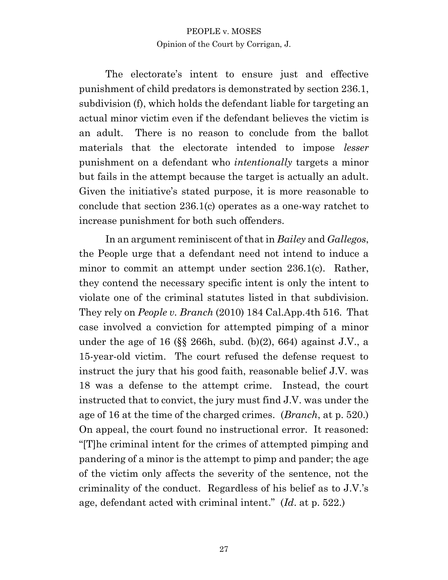The electorate's intent to ensure just and effective punishment of child predators is demonstrated by section 236.1, subdivision (f), which holds the defendant liable for targeting an actual minor victim even if the defendant believes the victim is an adult. There is no reason to conclude from the ballot materials that the electorate intended to impose *lesser* punishment on a defendant who *intentionally* targets a minor but fails in the attempt because the target is actually an adult. Given the initiative's stated purpose, it is more reasonable to conclude that section 236.1(c) operates as a one-way ratchet to increase punishment for both such offenders.

In an argument reminiscent of that in *Bailey* and *Gallegos*, the People urge that a defendant need not intend to induce a minor to commit an attempt under section 236.1(c). Rather, they contend the necessary specific intent is only the intent to violate one of the criminal statutes listed in that subdivision. They rely on *People v. Branch* (2010) 184 Cal.App.4th 516. That case involved a conviction for attempted pimping of a minor under the age of 16 ( $\S$ § 266h, subd. (b)(2), 664) against J.V., a 15-year-old victim. The court refused the defense request to instruct the jury that his good faith, reasonable belief J.V. was 18 was a defense to the attempt crime. Instead, the court instructed that to convict, the jury must find J.V. was under the age of 16 at the time of the charged crimes. (*Branch*, at p. 520.) On appeal, the court found no instructional error. It reasoned: "[T]he criminal intent for the crimes of attempted pimping and pandering of a minor is the attempt to pimp and pander; the age of the victim only affects the severity of the sentence, not the criminality of the conduct. Regardless of his belief as to J.V.'s age, defendant acted with criminal intent." (*Id*. at p. 522.)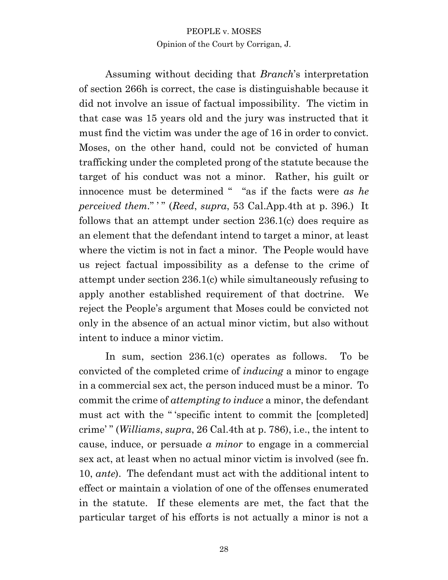Assuming without deciding that *Branch*'s interpretation of section 266h is correct, the case is distinguishable because it did not involve an issue of factual impossibility. The victim in that case was 15 years old and the jury was instructed that it must find the victim was under the age of 16 in order to convict. Moses, on the other hand, could not be convicted of human trafficking under the completed prong of the statute because the target of his conduct was not a minor. Rather, his guilt or innocence must be determined " "as if the facts were *as he perceived them.*" '" (*Reed, supra,* 53 Cal.App.4th at p. 396.) It follows that an attempt under section 236.1(c) does require as an element that the defendant intend to target a minor, at least where the victim is not in fact a minor. The People would have us reject factual impossibility as a defense to the crime of attempt under section 236.1(c) while simultaneously refusing to apply another established requirement of that doctrine. We reject the People's argument that Moses could be convicted not only in the absence of an actual minor victim, but also without intent to induce a minor victim.

In sum, section 236.1(c) operates as follows. To be convicted of the completed crime of *inducing* a minor to engage in a commercial sex act, the person induced must be a minor. To commit the crime of *attempting to induce* a minor, the defendant must act with the " 'specific intent to commit the [completed] crime' " (*Williams*, *supra*, 26 Cal.4th at p. 786), i.e., the intent to cause, induce, or persuade *a minor* to engage in a commercial sex act, at least when no actual minor victim is involved (see fn. 10, *ante*). The defendant must act with the additional intent to effect or maintain a violation of one of the offenses enumerated in the statute. If these elements are met, the fact that the particular target of his efforts is not actually a minor is not a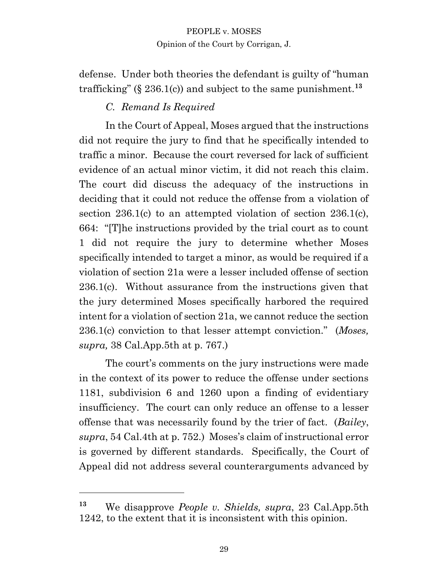defense. Under both theories the defendant is guilty of "human trafficking" ( $\S$  236.1(c)) and subject to the same punishment.<sup>13</sup>

#### *C. Remand Is Required*

In the Court of Appeal, Moses argued that the instructions did not require the jury to find that he specifically intended to traffic a minor. Because the court reversed for lack of sufficient evidence of an actual minor victim, it did not reach this claim. The court did discuss the adequacy of the instructions in deciding that it could not reduce the offense from a violation of section 236.1(c) to an attempted violation of section 236.1(c), 664: "[T]he instructions provided by the trial court as to count 1 did not require the jury to determine whether Moses specifically intended to target a minor, as would be required if a violation of section 21a were a lesser included offense of section 236.1(c). Without assurance from the instructions given that the jury determined Moses specifically harbored the required intent for a violation of section 21a, we cannot reduce the section 236.1(c) conviction to that lesser attempt conviction." (*Moses, supra,* 38 Cal.App.5th at p. 767.)

The court's comments on the jury instructions were made in the context of its power to reduce the offense under sections 1181, subdivision 6 and 1260 upon a finding of evidentiary insufficiency. The court can only reduce an offense to a lesser offense that was necessarily found by the trier of fact. (*Bailey*, *supra*, 54 Cal.4th at p. 752.) Moses's claim of instructional error is governed by different standards. Specifically, the Court of Appeal did not address several counterarguments advanced by

**<sup>13</sup>** We disapprove *People v. Shields, supra*, 23 Cal.App.5th 1242, to the extent that it is inconsistent with this opinion.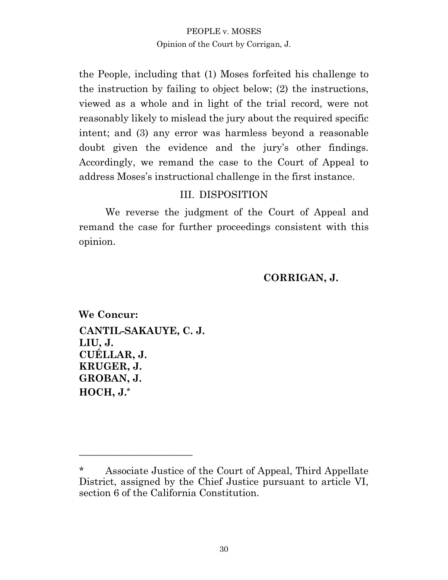the People, including that (1) Moses forfeited his challenge to the instruction by failing to object below; (2) the instructions, viewed as a whole and in light of the trial record, were not reasonably likely to mislead the jury about the required specific intent; and (3) any error was harmless beyond a reasonable doubt given the evidence and the jury's other findings. Accordingly, we remand the case to the Court of Appeal to address Moses's instructional challenge in the first instance.

#### III. DISPOSITION

We reverse the judgment of the Court of Appeal and remand the case for further proceedings consistent with this opinion.

#### **CORRIGAN, J.**

**We Concur: CANTIL-SAKAUYE, C. J. LIU, J. CUÉLLAR, J. KRUGER, J. GROBAN, J. HOCH, J.\***

\_\_\_\_\_\_\_\_\_\_\_\_\_\_\_\_\_\_\_\_\_\_\_

<sup>\*</sup> Associate Justice of the Court of Appeal, Third Appellate District, assigned by the Chief Justice pursuant to article VI, section 6 of the California Constitution.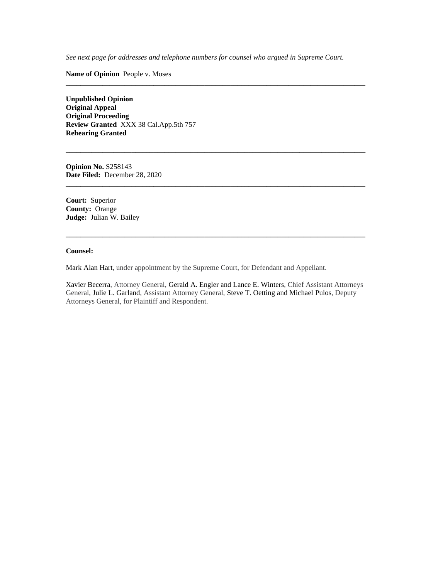*See next page for addresses and telephone numbers for counsel who argued in Supreme Court.*

**\_\_\_\_\_\_\_\_\_\_\_\_\_\_\_\_\_\_\_\_\_\_\_\_\_\_\_\_\_\_\_\_\_\_\_\_\_\_\_\_\_\_\_\_\_\_\_\_\_\_\_\_\_\_\_\_\_\_\_\_\_\_\_\_\_\_\_\_\_\_\_\_\_\_\_\_\_\_\_\_\_\_**

**\_\_\_\_\_\_\_\_\_\_\_\_\_\_\_\_\_\_\_\_\_\_\_\_\_\_\_\_\_\_\_\_\_\_\_\_\_\_\_\_\_\_\_\_\_\_\_\_\_\_\_\_\_\_\_\_\_\_\_\_\_\_\_\_\_\_\_\_\_\_\_\_\_\_\_\_\_\_\_\_\_\_**

**\_\_\_\_\_\_\_\_\_\_\_\_\_\_\_\_\_\_\_\_\_\_\_\_\_\_\_\_\_\_\_\_\_\_\_\_\_\_\_\_\_\_\_\_\_\_\_\_\_\_\_\_\_\_\_\_\_\_\_\_\_\_\_\_\_\_\_\_\_\_\_\_\_\_\_\_\_\_\_\_\_\_**

**\_\_\_\_\_\_\_\_\_\_\_\_\_\_\_\_\_\_\_\_\_\_\_\_\_\_\_\_\_\_\_\_\_\_\_\_\_\_\_\_\_\_\_\_\_\_\_\_\_\_\_\_\_\_\_\_\_\_\_\_\_\_\_\_\_\_\_\_\_\_\_\_\_\_\_\_\_\_\_\_\_\_**

**Name of Opinion** People v. Moses

**Unpublished Opinion Original Appeal Original Proceeding Review Granted** XXX 38 Cal.App.5th 757 **Rehearing Granted**

**Opinion No.** S258143 **Date Filed:** December 28, 2020

**Court:** Superior **County:** Orange **Judge:** Julian W. Bailey

#### **Counsel:**

Mark Alan Hart, under appointment by the Supreme Court, for Defendant and Appellant.

Xavier Becerra, Attorney General, Gerald A. Engler and Lance E. Winters, Chief Assistant Attorneys General, Julie L. Garland, Assistant Attorney General, Steve T. Oetting and Michael Pulos, Deputy Attorneys General, for Plaintiff and Respondent.